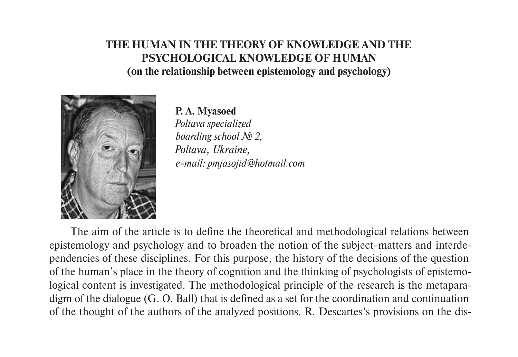# **THE HUMAN IN THE THEORY OF KNOWLEDGE AND THE PSYCHOLOGICAL KNOWLEDGE OF HUMAN (on the relationship between epistemology and psychology)**



### **P. А. Mуаsoed**

*Poltava specialized boarding school № 2, Poltava, Ukraine, e-mail: pmjasojid@hotmail.com*

The aim of the article is to define the theoretical and methodological relations between epistemology and psychology and to broaden the notion of the subject-matters and interdependencies of these disciplines. For this purpose, the history of the decisions of the question of the human's place in the theory of cognition and the thinking of psychologists of epistemological content is investigated. The methodological principle of the research is the metaparadigm of the dialogue (G. O. Ball) that is defined as a set for the coordination and continuation of the thought of the authors of the analyzed positions. R. Descartes's provisions on the dis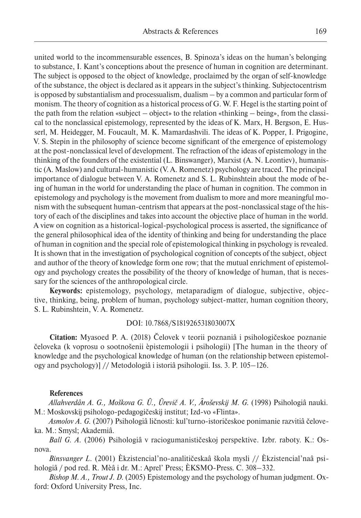united world to the incommensurable essences, B. Spinoza's ideas on the human's belonging to substance, I. Kant's conceptions about the presence of human in cognition are determinant. The subject is opposed to the object of knowledge, proclaimed by the organ of self-knowledge of the substance, the object is declared as it appears in the subject's thinking. Subjectocentrism is opposed by substantialism and processualism, dualism – by a common and particular form of monism. The theory of cognition as a historical process of G. W. F. Hegel is the starting point of the path from the relation «subject – object» to the relation «thinking – being», from the classical to the nonclassical epistemology, represented by the ideas of K. Marx, H. Bergson, E. Husserl, M. Heidegger, M. Foucault, M. K. Mamardashvili. The ideas of K. Popper, I. Prigogine, V. S. Stepin in the philosophy of science become significant of the emergence of epistemology at the post-nonclassical level of development. The refraction of the ideas of epistemology in the thinking of the founders of the existential (L. Binswanger), Marxist (A. N. Leontiev), humanistic (A. Maslow) and cultural-humanistic (V. A. Romenetz) psychology are traced. The principal importance of dialogue between V. A. Romenetz and S. L. Rubinshtein about the mode of being of human in the world for understanding the place of human in cognition. The common in epistemology and psychology is the movement from dualism to more and more meaningful monism with the subsequent human-centrism that appears at the post-nonclassical stage of the history of each of the disciplines and takes into account the objective place of human in the world. A view on cognition as a historical-logical-psychological process is asserted, the significance of the general philosophical idea of the identity of thinking and being for understanding the place of human in cognition and the special role of epistemological thinking in psychology is revealed. It is shown that in the investigation of psychological cognition of concepts of the subject, object and author of the theory of knowledge form one row; that the mutual enrichment of epistemology and psychology creates the possibility of the theory of knowledge of human, that is necessary for the sciences of the anthropological circle.

**Keywords:** epistemology, psychology, metaparadigm of dialogue, subjective, objective, thinking, being, problem of human, psychology subject-matter, human cognition theory, S. L. Rubinshtein, V. A. Romenetz.

## DOI: 10.7868/S181926531803007X

**Citation:** Mуаsoed P. A. (2018) Čelovek v teorii poznaniâ i psihologičeskoe poznanie čeloveka (k voprosu o sootnošenii èpistemologii i psihologii) [The human in the theory of knowledge and the psychological knowledge of human (on the relationship between epistemology and psychology)] // Metodologiâ i istoriâ psihologii. Iss. 3. P. 105–126.

#### **References**

*Allahverdân A. G., Moškova G. Û., Ûrevič A. V., Âroševskij M. G.* (1998) Psihologiâ nauki. M.: Moskovskij psihologo-pedagogičeskij institut; Izd-vo «Flinta».

*Asmolov A. G.* (2007) Psihologiâ ličnosti: kul'turno-istoričeskoe ponimanie razvitiâ čeloveka. M.: Smysl; Akademiâ.

*Ball G. A.* (2006) Psihologiâ v raciogumanističeskoj perspektive. Izbr. raboty. K.: Osnova.

*Binsvanger L.* (2001) Èkzistencial'no-analitičeskaâ škola mysli // Èkzistencial'naâ psihologiâ / pod red. R. Mèâ i dr. M.: Aprel' Press; ÈKSMO-Press. C. 308–332.

*Bishop M. A., Trout J. D.* (2005) Epistemology and the psychology of human judgment. Oxford: Oxford University Press, Inc.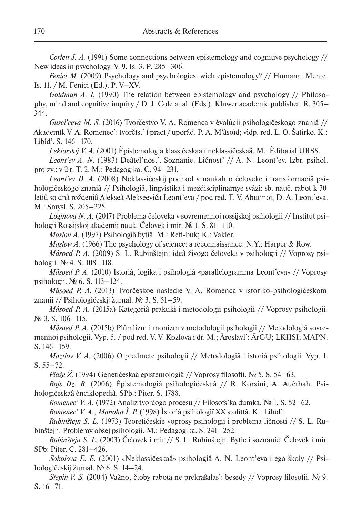*Corlett J. A.* (1991) Some connections between epistemology and cognitive psychology // New ideas in psychology. V. 9. Is. 3. P. 285–306.

*Fenici M.* (2009) Psychology and psychologies: wich epistemology? // Humana. Mente. Is. 11. / M. Fenici (Ed.). P. V–XV.

*Goldman A. I.* (1990) The relation between epistemology and psychology // Philosophy, mind and cognitive inquiry / D. J. Cole at al. (Eds.). Kluwer academic publisher. R. 305– 344.

*Gusel'ceva M. S.* (2016) Tvorčestvo V. A. Romenca v èvolûcii psihologičeskogo znaniâ // Akademìk V. A. Romenec': tvorčìst' ì pracì / uporâd. P. A. M‵âsoïd; vìdp. red. L. O. Šatirko. K.: Libìd'. S. 146–170.

*Lektorskij V. A.* (2001) Èpistemologiâ klassičeskaâ i neklassičeskaâ. M.: Èditorial URSS. *Leont'ev A. N.* (1983) Deâtel'nost'. Soznanie. Ličnost' // A. N. Leont'ev. Izbr. psihol. proizv.: v 2 t. T. 2. M.: Pedagogika. C. 94–231.

*Leont'ev D. A.* (2008) Neklassičeskij podhod v naukah o čeloveke i transformaciâ psihologičeskogo znaniâ // Psihologiâ, lingvistika i meždisciplinarnye svâzi: sb. nauč. rabot k 70 letiû so dnâ roždeniâ Alekseâ Alekseeviča Leont'eva / pod red. T. V. Ahutinoj, D. A. Leont'eva. M.: Smysl. S. 205–225.

*Loginova N. A.* (2017) Problema čeloveka v sovremennoj rossijskoj psihologii // Institut psihologii Rossijskoj akademii nauk. Čelovek i mir. № 1. S. 81–110.

*Maslou A.* (1997) Psihologiâ bytiâ. M.: Refl-buk; K.: Vakler.

*Maslow A.* (1966) The psychology of science: a reconnaissance. N.Y.: Harper & Row.

*Mâsoed P. A.* (2009) S. L. Rubinštejn: ideâ živogo čeloveka v psihologii // Voprosy psihologii. № 4. S. 108–118.

*Mâsoed P. A.* (2010) Istoriâ, logika i psihologiâ «parallelogramma Leont'eva» // Voprosy psihologii. № 6. S. 113–124.

*Mâsoed P. A.* (2013) Tvorčeskoe nasledie V. A. Romenca v istoriko-psihologičeskom znanii // Psihologičeskij žurnal. № 3. S. 51–59.

*Mâsoed P. A.* (2015a) Kategoriâ praktiki i metodologii psihologii // Voprosy psihologii. № 3. S. 106–115.

*Mâsoed P. A.* (2015b) Plûralizm i monizm v metodologii psihologii // Metodologiâ sovremennoj psihologii. Vyp. 5. / pod red. V. V. Kozlova i dr. M.; Âroslavl': ÂrGU; LKIISI; MAPN. S. 146–159.

*Mazilov V. A.* (2006) O predmete psihologii // Metodologiâ i istoriâ psihologii. Vyp. 1. S. 55–72.

*Piaže Ž.* (1994) Genetičeskaâ èpistemologiâ // Voprosy filosofii. № 5. S. 54–63.

*Rojs Dž. R.* (2006) Èpistemologiâ psihologičeskaâ // R. Korsini, A. Auèrbah. Psihologičeskaâ ènciklopediâ. SPb.: Piter. S. 1788.

*Romenec' V. A.* (1972) Analìz tvorčogo procesu // Fìlosofs'ka dumka. № 1. S. 52–62.

*Romenec' V. A., Manoha Ì. P.* (1998) Ìstorìâ psihologìï XX stolìttâ. K.: Libìd'.

*Rubinštejn S. L.* (1973) Teoretičeskie voprosy psihologii i problema ličnosti // S. L. Rubinštejn. Problemy obŝej psihologii. M.: Pedagogika. S. 241–252.

*Rubinštejn S. L.* (2003) Čelovek i mir // S. L. Rubinštejn. Bytie i soznanie. Čelovek i mir. SPb: Piter. C. 281–426.

*Sokolova E. E.* (2001) «Neklassičeskaâ» psihologiâ A. N. Leont'eva i ego školy // Psihologičeskij žurnal. № 6. S. 14–24.

*Stepin V. S.* (2004) Važno, čtoby rabota ne prekraŝalas': besedy // Voprosy filosofii. № 9. S. 16–71.